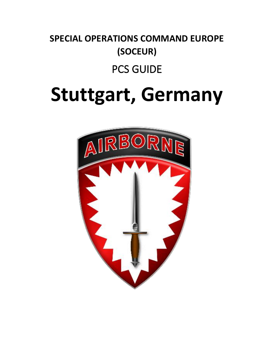# **SPECIAL OPERATIONS COMMAND EUROPE (SOCEUR)**

# PCS GUIDE

# **Stuttgart, Germany**

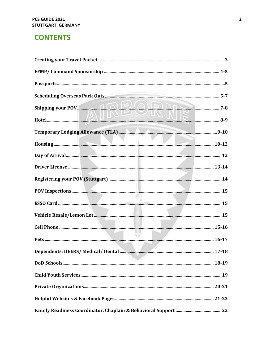# **CONTENTS**

| <u>Z UNITE</u>             |  |
|----------------------------|--|
|                            |  |
|                            |  |
|                            |  |
|                            |  |
|                            |  |
|                            |  |
|                            |  |
|                            |  |
|                            |  |
| the control of the control |  |
|                            |  |
|                            |  |
|                            |  |
|                            |  |
|                            |  |
|                            |  |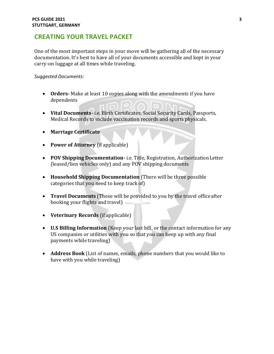# **CREATING YOUR TRAVEL PACKET**

One of the most important steps in your move will be gathering all of the necessary documentation. It's best to have all of your documents accessible and kept in your carry-on luggage at all times while traveling.

*Suggested Documents:*

- **Orders-** Make at least 10 copies along with the amendments if you have dependents
- **Vital Documents-** i.e. Birth Certificates, Social Security Cards, Passports, Medical Records to include vaccination records and sports physicals.
- **Marriage Certificate**
- **Power of Attorney** (if applicable)
- **POV Shipping Documentation-** i.e. Title, Registration, AuthorizationLetter (leased/lien vehicles only) and any POV shipping documents
- **Household Shipping Documentation** (There will be three possible categories that you need to keep track of)
- **Travel Documents** (These will be provided to you by the travel officeafter booking your flights and travel)
- **Veterinary Records** (if applicable)
- **U.S Billing Information** (Keep your last bill, or the contact information for any US companies or utilities with you so that you can keep up with any final payments while traveling)
- **Address Book** (List of names, emails, phone numbers that you would like to have with you while traveling)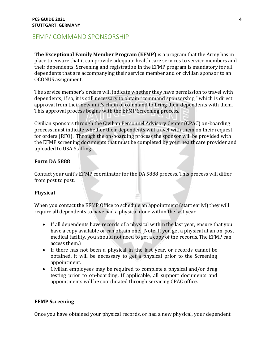# EFMP/ COMMAND SPONSORSHIP

**The Exceptional Family Member Program (EFMP)** is a program that the Army has in place to ensure that it can provide adequate health care services to service members and their dependents. Screening and registration in the EFMP program is mandatory for all dependents that are accompanying their service member and or civilian sponsor to an OCONUS assignment.

The service member's orders will indicate whether they have permission to travel with dependents; if so, it is still necessary to obtain "command sponsorship," which is direct approval from their new unit's chain of command to bring their dependents with them. This approval process begins with the EFMP Screening process.

Civilian sponsors through the Civilian Personnel Advisory Center (CPAC) on-boarding process must indicate whether their dependents will travel with them on their request for orders (RFO). Through the on-boarding process the sponsor will be provided with the EFMP screening documents that must be completed by your healthcare provider and uploaded to USA Staffing.

#### **Form DA 5888**

Contact your unit's EFMP coordinator for the DA 5888 process. This process will differ from post to post.

#### **Physical**

When you contact the EFMP Office to schedule an appointment (start early!) they will require all dependents to have had a physical done within the last year.

- If all dependents have records of a physical within the last year, ensure that you have a copy available or can obtain one. (Note: If you get a physical at an on-post medical facility, you should not need to get a copy of the records.The EFMP can access them.)
- If there has not been a physical in the last year, or records cannot be obtained, it will be necessary to get a physical prior to the Screening appointment.
- Civilian employees may be required to complete a physical and/or drug testing prior to on-boarding. If applicable, all support documents and appointments will be coordinated through servicing CPAC office.

#### **EFMP Screening**

Once you have obtained your physical records, or had a new physical, your dependent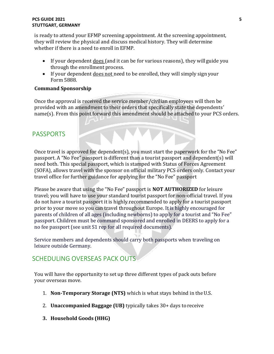#### **PCS GUIDE 2021 5 STUTTGART, GERMANY**

is ready to attend your EFMP screening appointment. At the screening appointment, they will review the physical and discuss medical history. They will determine whether if there is a need to enroll in EFMP.

- If your dependent does (and it can be for various reasons), they will guide you through the enrollment process.
- If your dependent does not need to be enrolled, they will simply signyour Form 5888.

#### **Command Sponsorship**

Once the approval is received the service member/civilian employees will then be provided with an amendment to their orders that specifically state the dependents' name(s). From this point forward this amendment should be attached to your PCS orders.

# <span id="page-4-0"></span>PASSPORTS

Once travel is approved for dependent(s), you must start the paperwork for the "No Fee" passport. A "No Fee" passport is different than a tourist passport and dependent(s) will need both. This special passport, which is stamped with Status of Forces Agreement (SOFA), allows travel with the sponsor on official military PCS orders only. Contact your travel office for further guidance for applying for the "No Fee" passport

Please be aware that using the "No Fee" passport is **NOT AUTHORIZED** for leisure travel; you will have to use your standard tourist passport for non-official travel. If you do not have a tourist passport it is highly recommended to apply for a tourist passport prior to your move so you can travel throughout Europe. It is highly encouraged for parents of children of all ages (including newborns) to apply for a tourist and "No Fee" passport. Children must be command sponsored and enrolled in DEERS to apply for a no fee passport (see unit S1 rep for all required documents).

Service members and dependents should carry both passports when traveling on leisure outside Germany.

# <span id="page-4-1"></span>SCHEDULING OVERSEAS PACK OUTS

You will have the opportunity to set up three different types of pack outs before your overseas move.

- 1. **Non-Temporary Storage (NTS)** which is what stays behind in theU.S.
- 2. **Unaccompanied Baggage (UB)** typically takes 30+ days toreceive
- **3. Household Goods (HHG)**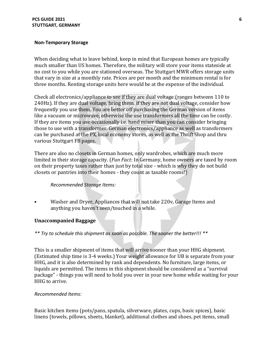#### **PCS GUIDE 2021 6 STUTTGART, GERMANY**

#### **Non-Temporary Storage**

When deciding what to leave behind, keep in mind that European homes are typically much smaller than US homes. Therefore, the military will store your items stateside at no cost to you while you are stationed overseas. The Stuttgart MWR offers storage units that vary in size at a monthly rate. Prices are per month and the minimum rental is for three months. Renting storage units here would be at the expense of the individual.

Check all electronics/appliance to see if they are dual voltage (ranges between 110 to 240Hz). If they are dual voltage, bring them. If they are not dual voltage, consider how frequently you use them. You are better off purchasing the German version of items like a vacuum or microwave, otherwise the use transformers all the time can be costly. If they are items you use occasionally i.e. hand mixer than you can consider bringing those to use with a transformer. German electronics/appliance as well as transformers can be purchased at the PX, local economy stores, as well as the Thrift Shop and thru various Stuttgart FB pages.

There are also no closets in German homes, only wardrobes, which are much more limited in their storage capacity. (*Fun Fact*: In Germany, home owners are taxed by room on their property taxes rather than just by total size - which is why they do not build closets or pantries into their homes - they count as taxable rooms!)

#### *Recommended Storage Items:*

• Washer and Dryer, Appliances that will not take 220v, Garage Items and anything you haven't seen/touched in a while.

#### **Unaccompanied Baggage**

*\*\* Try to schedule this shipment as soon as possible. The sooner the better!!! \*\**

This is a smaller shipment of items that will arrive sooner than your HHG shipment. (Estimated ship time is 3-4 weeks.) Your weight allowance for UB is separate from your HHG, and it is also determined by rank and dependents. No furniture, large items, or liquids are permitted. The items in this shipment should be considered as a "survival package" - things you will need to hold you over in your new home while waiting for your HHG to arrive.

#### *Recommended Items:*

Basic kitchen items (pots/pans, spatula, silverware, plates, cups, basic spices), basic linens (towels, pillows, sheets, blanket), additional clothes and shoes, pet items, small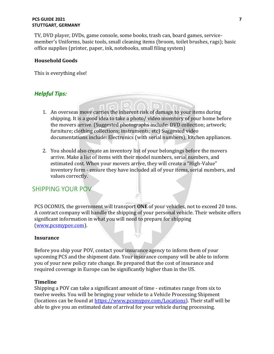#### **PCS GUIDE 2021 7 STUTTGART, GERMANY**

TV, DVD player, DVDs, game console, some books, trash can, board games, servicemember's Uniforms, basic tools, small cleaning items (broom, toilet brushes, rags); basic office supplies (printer, paper, ink, notebooks, small filing system)

#### **Household Goods**

This is everything else!

#### *Helpful Tips:*

- 1. An overseas move carries the inherent risk of damage to your items during shipping. It is a good idea to take a photo/ video inventory of your home before the movers arrive. (Suggested photographs include: DVD collection; artwork; furniture; clothing collections; instruments; etc) Suggested video documentations include: Electronics (with serial numbers); kitchen appliances.
- 2. You should also create an inventory list of your belongings before the movers arrive. Make a list of items with their model numbers, serial numbers, and estimated cost. When your movers arrive, they will create a "High-Value" inventory form - ensure they have included all of your items, serial numbers, and values correctly.

#### <span id="page-6-0"></span>SHIPPING YOUR POV

PCS OCONUS, the government will transport **ONE** of your vehicles, not to exceed 20 tons. A contract company will handle the shipping of your personal vehicle. Their website offers significant information in what you will need to prepare for shipping [\(www.pcsmypov.com\)](http://www.pcsmypov.com/).

#### **Insurance**

Before you ship your POV, contact your insurance agency to inform them of your upcoming PCS and the shipment date. Your insurance company will be able to inform you of your new policy rate change. Be prepared that the cost of insurance and required coverage in Europe can be significantly higher than in the US.

#### **Timeline**

Shipping a POV can take a significant amount of time - estimates range from six to twelve weeks. You will be bringing your vehicle to a Vehicle Processing Shipment (locations can be found at [https://www.pcsmypov.com/Locations\)](https://www.pcsmypov.com/Locations). Their staff will be able to give you an estimated date of arrival for your vehicle during processing.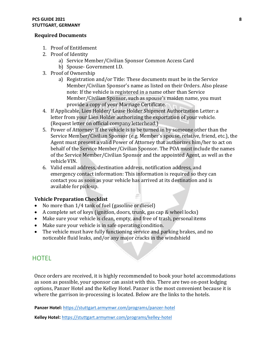#### **PCS GUIDE 2021 8 STUTTGART, GERMANY**

#### **Required Documents**

- 1. Proof of Entitlement
- 2. Proof of Identity
	- a) Service Member/Civilian Sponsor Common Access Card
	- b) Spouse- Government I.D.
- 3. Proof of Ownership
	- a) Registration and/or Title: These documents must be in the Service Member/Civilian Sponsor's name as listed on their Orders. Also please note: If the vehicle is registered in a name other than Service Member/Civilian Sponsor, such as spouse's maiden name, you must provide a copy of your Marriage Certificate.
- 4. If Applicable, Lien Holder/ Lease Holder Shipment Authorization Letter: a letter from your Lien Holder authorizing the exportation of your vehicle. (Request letter on official company letterhead.)
- 5. Power of Attorney: If the vehicle is to be turned in by someone other than the Service Member/Civilian Sponsor (e.g. Member's spouse, relative, friend, etc.), the Agent must present a valid Power of Attorney that authorizes him/her to act on behalf of the Service Member/Civilian Sponsor. The POA must include the names of the Service Member/Civilian Sponsor and the appointed Agent, as well as the vehicleVIN.
- 6. Valid email address, destination address, notification address, and emergency contact information: This information is required so they can contact you as soon as your vehicle has arrived at its destination and is available for pick-up.

#### **Vehicle Preparation Checklist**

- No more than 1/4 tank of fuel (gasoline or diesel)
- A complete set of keys (ignition, doors, trunk, gas cap & wheel locks)
- Make sure your vehicle is clean, empty, and free of trash, personalitems
- Make sure your vehicle is in safe operating condition.
- The vehicle must have fully functioning service and parking brakes, and no noticeable fluid leaks, and/or any major cracks in the windshield

## <span id="page-7-0"></span>**HOTEL**

Once orders are received, it is highly recommended to book your hotel accommodations as soon as possible, your sponsor can assist with this. There are two on-post lodging options, Panzer Hotel and the Kelley Hotel. Panzer is the most convenient because it is where the garrison in-processing is located. Below are the links to the hotels.

**Panzer Hotel:** <https://stuttgart.armymwr.com/programs/panzer-hotel>

**Kelley Hotel:** <https://stuttgart.armymwr.com/programs/kelley-hotel>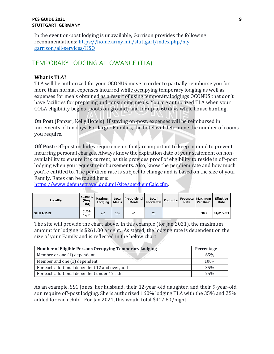#### **PCS GUIDE 2021 9 STUTTGART, GERMANY**

In the event on-post lodging is unavailable, Garrison provides the following recommendations: [https://home.army.mil/stuttgart/index.php/my](https://home.army.mil/stuttgart/index.php/my-garrison/all-services/HSO)[garrison/all-services/HSO](https://home.army.mil/stuttgart/index.php/my-garrison/all-services/HSO)

# <span id="page-8-0"></span>TEMPORARY LODGING ALLOWANCE (TLA)

#### **What is TLA?**

TLA will be authorized for your OCONUS move in order to partially reimburse you for more than normal expenses incurred while occupying temporary lodging as well as expenses for meals obtained as a result of using temporary lodgings OCONUS that don't have facilities for preparing and consuming meals. You are authorized TLA when your COLA eligibility begins (boots on ground) and for up to 60 days while house hunting.

**On Post** (Panzer, Kelly Hotels): If staying on-post, expenses will be reimbursed in increments of ten days. For larger Families, the hotel will determine the number of rooms you require.

**Off Post**: Off-post includes requirements that are important to keep in mind to prevent incurring personal charges. Always know the expiration date of your statement on nonavailability to ensure it is current, as this provides proof of eligibility to reside in off-post lodging when you request reimbursements. Also, know the per diem rate and how much you're entitled to. The per diem rate is subject to change and is based on the size of your Family. Rates can be found here:

[https://www.defensetravel.dod.mil/site/perdiemCalc.cfm.](https://www.defensetravel.dod.mil/site/perdiemCalc.cfm)

| Locality         | <b>Seasons</b><br>(Beg-<br>End) | Lodging | Meals | Maximum   Local   Proportional  <br>Meals | Local<br>  Incidental   Footnote | Rate | Footnote   Maximum  <br>Per Diem | Effective<br>Date |
|------------------|---------------------------------|---------|-------|-------------------------------------------|----------------------------------|------|----------------------------------|-------------------|
| <b>STUTTGART</b> | $01/01 -$<br>12/31              | 261     | 106   | 61                                        | 26                               |      | 393                              | 01/01/2021        |

The site will provide the chart above. In this example (for Jan 2021), the maximum amount for lodging is \$261.00 a night. As stated, the lodging rate is dependent on the size of your Family and is reflected in the below chart:

| <b>Number of Eligible Persons Occupying Temporary Lodging</b> | Percentage |  |  |
|---------------------------------------------------------------|------------|--|--|
| Member or one (1) dependent                                   | 65%        |  |  |
| Member and one (1) dependent                                  | 100%       |  |  |
| For each additional dependent 12 and over, add                | 35%        |  |  |
| For each additional dependent under 12, add                   | 25%        |  |  |

As an example, SSG Jones, her husband, their 12-year-old daughter, and their 9-year-old son require off-post lodging. She is authorized 160% lodging TLA with the 35% and 25% added for each child. For Jan 2021, this would total \$417.60/night.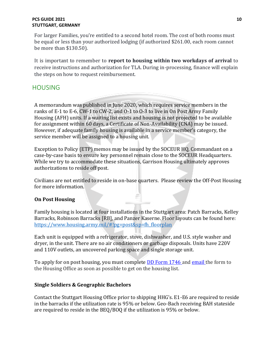#### **PCS GUIDE 2021 10 STUTTGART, GERMANY**

For larger Families, you're entitled to a second hotel room. The cost of both rooms must be equal or less than your authorized lodging (if authorized \$261.00, each room cannot be more than \$130.50).

It is important to remember to **report to housing within two workdays of arrival** to receive instructions and authorization for TLA. During in-processing, finance will explain the steps on how to request reimbursement.

# <span id="page-9-0"></span>**HOUSING**

A memorandum was published in June 2020, which requires service members in the ranks of E-1 to E-6, CW-1 to CW-2, and O-1 to O-3 to live in On Post Army Family Housing (AFH) units. If a waiting list exists and housing is not projected to be available for assignment within 60 days, a Certificate of Non-Availability (CNA) may be issued. However, if adequate family housing is available in a service member's category, the service member will be assigned to a housing unit.

Exception to Policy (ETP) memos may be issued by the SOCEUR HQ, Commandant on a case-by-case basis to ensure key personnel remain close to the SOCEUR Headquarters. While we try to accommodate these situations, Garrison Housing ultimately approves authorizations to reside off post.

Civilians are not entitled to reside in on-base quarters. Please review the Off-Post Housing for more information.

#### **On Post Housing**

Family housing is located at four installations in the Stuttgart area: Patch Barracks, Kelley Barracks, Robinson Barracks [RB], and Panzer Kaserne. Floor layouts can be found here: [https://www.housing.army.mil/#!pg=post&sp=fh\\_floorplan](https://www.housing.army.mil/#!pg=post&sp=fh_floorplan)

Each unit is equipped with a refrigerator, stove, dishwasher, and U.S. style washer and dryer, in the unit. There are no air conditioners or garbage disposals. Units have 220V and 110V outlets, an uncovered parking space and single storage unit.

To apply for on post housing, you must complete **DD Form 1746** and **email** the form to the Housing Office as soon as possible to get on the housing list.

#### **Single Soldiers & Geographic Bachelors**

Contact the Stuttgart Housing Office prior to shipping HHG's. E1-E6 are required to reside in the barracks if the utilization rate is 95% or below. Geo-Bach receiving BAH stateside are required to reside in the BEQ/BOQ if the utilization is 95% or below.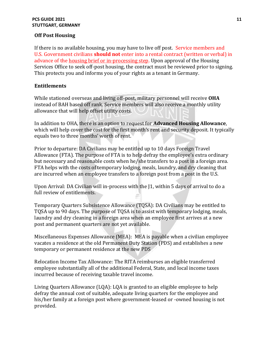#### **PCS GUIDE 2021 11 STUTTGART, GERMANY**

#### **Off Post Housing**

If there is no available housing, you may have to live off post. Service members and U.S. Government civilians **should not** enter into a rental contract (written or verbal) in advance of the housing brief or in-processing step. Upon approval of the Housing Services Office to seek off-post housing, the contract must be reviewed prior to signing. This protects you and informs you of your rights as a tenant in Germany.

#### **Entitlements**

While stationed overseas and living off-post, military personnel will receive **OHA**  instead of BAH based off rank. Service members will also receive a monthly utility allowance that will help offset utility costs.

In addition to OHA, there is an option to request for **Advanced Housing Allowance**, which will help cover the cost for the first month's rent and security deposit. It typically equals two to three months' worth of rent.

Prior to departure: DA Civilians may be entitled up to 10 days Foreign Travel Allowance (FTA). The purpose of FTA is to help defray the employee's extra ordinary but necessary and reasonable costs when he/she transfers to a post in a foreign area. FTA helps with the costs of temporary lodging, meals, laundry, and dry cleaning that are incurred when an employee transfers to a foreign post from a post in the U.S.

Upon Arrival: DA Civilian will in-process with the J1, within 5 days of arrival to do a full review of entitlements.

Temporary Quarters Subsistence Allowance (TQSA): DA Civilians may be entitled to TQSA up to 90 days. The purpose of TQSA is to assist with temporary lodging, meals, laundry and dry cleaning in a foreign area when an employee first arrives at a new post and permanent quarters are not yet available.

Miscellaneous Expenses Allowance (MEA): MEA is payable when a civilian employee vacates a residence at the old Permanent Duty Station (PDS) and establishes a new temporary or permanent residence at the new PDS

Relocation Income Tax Allowance: The RITA reimburses an eligible transferred employee substantially all of the additional Federal, State, and local income taxes incurred because of receiving taxable travel income.

Living Quarters Allowance (LQA): LQA is granted to an eligible employee to help defray the annual cost of suitable, adequate living quarters for the employee and his/her family at a foreign post where government-leased or -owned housing is not provided.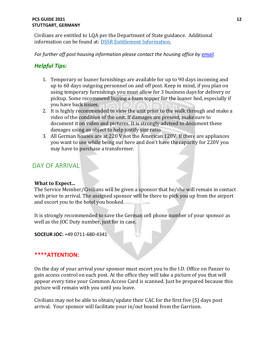#### **PCS GUIDE 2021 12 STUTTGART, GERMANY**

Civilians are entitled to LQA per the Department of State guidance. Additional information can be found at: [DSSR Entitlement Information.](https://aoprals.state.gov/content.asp?content_id=241&menu_id=74&MenuHide=1) 

*For further off post housing information please contact the housing office by [email.](mailto:usarmy.stuttgart.usag.list.dpw-housing-email@mail.mil)*

# *Helpful Tips:*

- 1. Temporary or loaner furnishings are available for up to 90 days incoming and up to 60 days outgoing personnel on and off post. Keep in mind, if you plan on using temporary furnishings you must allow for 3 business days for delivery or pickup. Some recommend buying a foam topper for the loaner bed, especially if you have back issues.
- 2. It is highly recommended to view the unit prior to the walk through and make a video of the condition of the unit. If damages are present, make sure to document it on video and pictures. It is strongly advised to document these damages using an object to help justify size ratio.
- 3. All German houses are at 220 V not the American 120V. If there are appliances you want to use while being out here and don't have the capacity for 220V you may have to purchase a transformer.

# <span id="page-11-0"></span>DAY OF ARRIVAL

#### **What to Expect...**

The Service Member/Civilians will be given a sponsor that he/she will remain in contact with prior to arrival. The assigned sponsor will be there to pick you up from the airport and escort you to the hotel you booked.

It is strongly recommended to save the German cell phone number of your sponsor as well as the JOC Duty number, just for in case.

**SOCEUR JOC:** +49 0711-680-4341

#### **\*\*\*\*ATTENTION:**

On the day of your arrival your sponsor must escort you to the I.D. Office on Panzer to gain access control on each post. At the office they will take a picture of you that will appear every time your Common Access Card is scanned. Just be prepared because this picture will remain with you until you leave.

Civilians may not be able to obtain/update their CAC for the first five (5) days post arrival. Your sponsor will facilitate your in/out bound from the Garrison.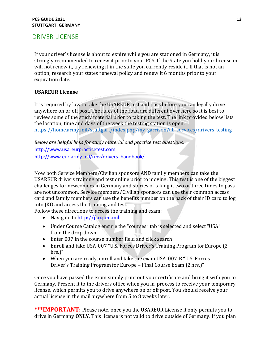#### **PCS GUIDE 2021 13 STUTTGART, GERMANY**

# <span id="page-12-0"></span>DRIVER LICENSE

If your driver's license is about to expire while you are stationed in Germany, it is strongly recommended to renew it prior to your PCS. If the State you hold your license in will not renew it, try renewing it in the state you currently reside it. If that is not an option, research your states renewal policy and renew it 6 months prior to your expiration date.

#### **USAREUR License**

It is required by law to take the USAREUR test and pass before you can legally drive anywhere on or off post. The rules of the road are different over here so it is best to review some of the study material prior to taking the test. The link provided below lists the location, time and days of the week the testing station is open. <https://home.army.mil/stuttgart/index.php/my-garrison/all-services/drivers-testing>

*Below are helpful links for study material and practice test questions:*  [http://www.usareurpracticetest.com](http://www.usareurpracticetest.com/) [http://www.eur.army.mil/rmv/drivers\\_handbook/](http://www.eur.army.mil/rmv/drivers_handbook/)

Now both Service Members/Civilian sponsors AND family members can take the USAREUR drivers training and test online prior to moving. This test is one of the biggest challenges for newcomers in Germany and stories of taking it two or three times to pass are not uncommon. Service members/Civilian sponsors can use their common access card and family members can use the benefits number on the back of their ID card to log into JKO and access the training and test.

Follow these directions to access the training and exam:

- Navigate to [http://jko.jten.mil](http://jko.jten.mil/)
- Under Course Catalog ensure the "courses" tab is selected and select "USA" from the drop down.
- Enter 007 in the course number field and click search
- Enroll and take USA-007 "U.S. Forces Driver's Training Program for Europe (2) hrs.)"
- When you are ready, enroll and take the exam USA-007-B "U.S. Forces Driver's Training Program for Europe – Final Course Exam (2 hrs.)"

Once you have passed the exam simply print out your certificate and bring it with you to Germany. Present it to the drivers office when you in-process to receive your temporary license, which permits you to drive anywhere on or off post. You should receive your actual license in the mail anywhere from 5 to 8 weeks later.

\*\*\*IMPORTANT: Please note, once you the USAREUR License it only permits you to drive in Germany **ONLY**. This license is not valid to drive outside of Germany. If you plan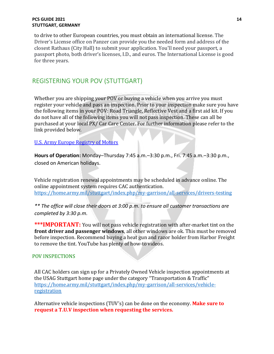#### **PCS GUIDE 2021 14 STUTTGART, GERMANY**

to drive to other European countries, you must obtain an international license. The Driver's License office on Panzer can provide you the needed form and address of the closest Rathaus (City Hall) to submit your application. You'll need your passport, a passport photo, both driver's licenses, I.D., and euros. The International License is good for three years.

# <span id="page-13-0"></span>REGISTERING YOUR POV (STUTTGART)

Whether you are shipping your POV or buying a vehicle when you arrive you must register your vehicle and pass an inspection. Prior to your inspection make sure you have the following items in your POV: Road Triangle, Reflective Vest and a first aid kit. If you do not have all of the following items you will not pass inspection. These can all be purchased at your local PX/ Car Care Center. For further information please refer to the link provided below.

#### [U.S. Army Europe Registry of Motors](http://www.eur.army.mil/rmv/Vehicle_Registration/#REGISTERING%20YOUR%20POV%20SHIPPED%20FROM%20U.S.A.%20OR%20DRIVEN%20FROM%20ANOTHER%20NATO%20COUNTRY)

**Hours of Operation:** Monday–Thursday 7:45 a.m.–3:30 p.m., Fri. 7:45 a.m.–3:30 p.m., closed on American holidays.

Vehicle registration renewal appointments may be scheduled in advance online. The online appointment system requires CAC authentication. <https://home.army.mil/stuttgart/index.php/my-garrison/all-services/drivers-testing>

*\*\* The office will close their doors at 3:00 p.m. to ensure all customer transactions are completed by 3:30 p.m.*

**\*\*\*IMPORTANT:** You will not pass vehicle registration with after-market tint on the **front driver and passenger windows**, all other windows are ok. This must be removed before inspection. Recommend buying a heat gun and razor holder from Harbor Freight to remove the tint. YouTube has plenty of how-to videos.

#### <span id="page-13-1"></span>POV INSPECTIONS

All CAC holders can sign up for a Privately Owned Vehicle inspection appointments at the USAG Stuttgart home page under the category "Transportation & Traffic" [https://home.army.mil/stuttgart/index.php/my-garrison/all-services/vehicle](https://home.army.mil/stuttgart/index.php/my-garrison/all-services/vehicle-registration)[registration](https://home.army.mil/stuttgart/index.php/my-garrison/all-services/vehicle-registration)

Alternative vehicle inspections (TUV's) can be done on the economy. **Make sure to request a T.U.V inspection when requesting the services.**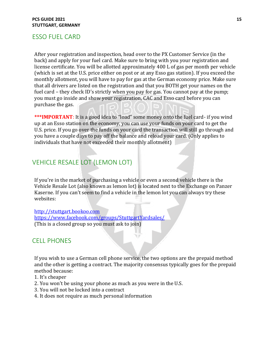#### ESSO FUEL CARD

After your registration and inspection, head over to the PX Customer Service (in the back) and apply for your fuel card. Make sure to bring with you your registration and license certificate. You will be allotted approximately 400 L of gas per month per vehicle (which is set at the U.S. price either on post or at any Esso gas station). If you exceed the monthly allotment, you will have to pay for gas at the German economy price. Make sure that all drivers are listed on the registration and that you BOTH get your names on the fuel card – they check ID's strictly when you pay for gas. You cannot pay at the pump; you must go inside and show your registration, CAC and Esso card before you can purchase the gas.

\*\*\*IMPORTANT: It is a good idea to "load" some money onto the fuel card- if you wind up at an Esso station on the economy, you can use your funds on your card to get the U.S. price. If you go over the funds on your card the transaction will still go through and you have a couple days to pay off the balance and reload your card. (Only applies to individuals that have not exceeded their monthly allotment)

# VEHICLE RESALE LOT (LEMON LOT)

If you're in the market of purchasing a vehicle or even a second vehicle there is the Vehicle Resale Lot (also known as lemon lot) is located next to the Exchange on Panzer Kaserne. If you can't seem to find a vehicle in the lemon lot you can always try these websites:

[http://stuttgart.bookoo.com](http://stuttgart.bookoo.com/) <https://www.facebook.com/groups/StuttgartYardsales/> (This is a closed group so you must ask to join)

#### CELL PHONES

If you wish to use a German cell phone service, the two options are the prepaid method and the other is getting a contract. The majority consensus typically goes for the prepaid method because:

- 1. It's cheaper
- 2. You won't be using your phone as much as you were in the U.S.
- 3. You will not be locked into a contract
- 4. It does not require as much personal information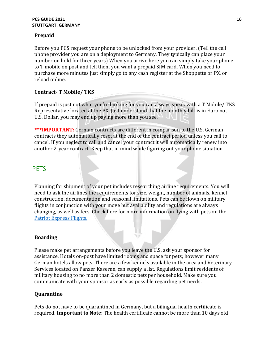#### **PCS GUIDE 2021 16 STUTTGART, GERMANY**

#### **Prepaid**

Before you PCS request your phone to be unlocked from your provider. (Tell the cell phone provider you are on a deployment to Germany. They typically can place your number on hold for three years) When you arrive here you can simply take your phone to T mobile on post and tell them you want a prepaid SIM card. When you need to purchase more minutes just simply go to any cash register at the Shoppette or PX, or reload online.

#### **Contract- T Mobile/ TKS**

If prepaid is just not what you're looking for you can always speak with a T Mobile/ TKS Representative located at the PX. Just understand that the monthly bill is in Euro not U.S. Dollar, you may end up paying more than you see.

**\*\*\*IMPORTANT:** German contracts are different in comparison to the U.S. German contracts they automatically reset at the end of the contract period unless you call to cancel. If you neglect to call and cancel your contract it will automatically renew into another 2-year contract. Keep that in mind while figuring out your phone situation.

# <span id="page-15-0"></span>**PETS**

Planning for shipment of your pet includes researching airline requirements. You will need to ask the airlines the requirements for size, weight, number of animals, kennel construction, documentation and seasonal limitations. Pets can be flown on military flights in conjunction with your move but availability and regulations are always changing, as well as fees. Check here for more information on flying with pets on the [Patriot Express Flights.](https://www.spacea.net/faq/what-are-patriot-express-scheduleroutes)

#### **Boarding**

Please make pet arrangements before you leave the U.S. ask your sponsor for assistance. Hotels on-post have limited rooms and space for pets; however many German hotels allow pets. There are a few kennels available in the area and Veterinary Services located on Panzer Kaserne, can supply a list. Regulations limit residents of military housing to no more than 2 domestic pets per household. Make sure you communicate with your sponsor as early as possible regarding pet needs.

#### **Quarantine**

Pets do not have to be quarantined in Germany, but a bilingual health certificate is required. **Important to Note**: The health certificate cannot be more than 10 days old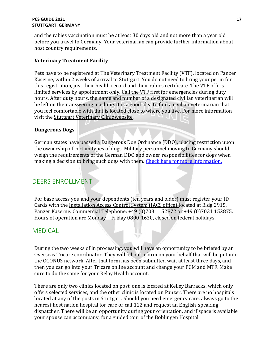#### **PCS GUIDE 2021 17 STUTTGART, GERMANY**

and the rabies vaccination must be at least 30 days old and not more than a year old before you travel to Germany. Your veterinarian can provide further information about host country requirements.

#### **Veterinary Treatment Facility**

Pets have to be registered at The Veterinary Treatment Facility (VTF), located on Panzer Kaserne, within 2 weeks of arrival to Stuttgart. You do not need to bring your pet in for this registration, just their health record and their rabies certificate. The VTF offers limited services by appointment only. Call the VTF first for emergencies during duty hours. After duty hours, the name and number of a designated civilian veterinarian will be left on their answering machine. It is a good idea to find a civilian veterinarian that you feel comfortable with that is located close to where you live. For more information visit th[e Stuttgart Veterinary Clinicwebsite.](http://www.chppmeur.healthcare.hqusareur.army.mil/sites/vet/phcd-ne/stuttgart.aspx)

#### **Dangerous Dogs**

German states have passed a Dangerous Dog Ordinance (DDO), placing restriction upon the ownership of certain types of dogs. Military personnel moving to Germany should weigh the requirements of the German DDO and owner responsibilities for dogs when making a decision to bring such dogs with them. [Check here for more](http://www.zoll.de/EN/Private-individuals/Travel/Entering-Germany/Restrictions/Dangerous-dogs/dangerous-dogs.html) [information.](http://www.zoll.de/EN/Private-individuals/Travel/Entering-Germany/Restrictions/Dangerous-dogs/dangerous-dogs.html)

# DEERS ENROLLMENT

For base access you and your dependents (ten years and older) must register your ID Cards with the [Installation Access Control System \(IACS office\) l](http://www.stuttgart.army.mil/services-IACS.html)ocated at Bldg 2915, Panzer Kaserne. Commercial Telephone: +49 (0)7031 152872 or +49 (0)7031 152875. Hours of operation are Monday – Friday 0800-1630, closed on federal holidays.

## **MEDICAL**

During the two weeks of in processing, you will have an opportunity to be briefed by an Overseas Tricare coordinator. They will fill out a form on your behalf that will be put into the OCONUS network. After that form has been submitted wait at least three days, and then you can go into your Tricare online account and change your PCM and MTF. Make sure to do the same for your Relay Health account.

There are only two clinics located on post, one is located at Kelley Barracks, which only offers selected services, and the other clinic is located on Panzer. There are no hospitals located at any of the posts in Stuttgart. Should you need emergency care, always go to the nearest host nation hospital for care or call 112 and request an English-speaking dispatcher. There will be an opportunity during your orientation, and if space is available your spouse can accompany, for a guided tour of the Böblingen Hospital.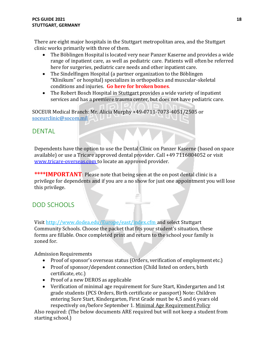There are eight major hospitals in the Stuttgart metropolitan area, and the Stuttgart clinic works primarily with three of them.

- The Böblingen Hospital is located very near Panzer Kaserne and provides a wide range of inpatient care, as well as pediatric care. Patients will often be referred here for surgeries, pediatric care needs and other inpatient care.
- The Sindelfingen Hospital (a partner organization to the Böblingen "Klinikum" or hospital) specializes in orthopedics and muscular-skeletal conditions and injuries. **Go here for broken bones**.
- The Robert Bosch Hospital in Stuttgart provides a wide variety of inpatient services and has a premiere trauma center, but does not have pediatric care.

SOCEUR Medical Branch: Mr. Alicia Murphy +49-0711-7073-4051/2505 or [soceurclinic@socom.mil](mailto:soceurclinic@socom.mil)

# **DENTAL**

Dependents have the option to use the Dental Clinic on Panzer Kaserne (based on space available) or use a Tricare approved dental provider. Call +49 7116804052 or visit [www.tricare-overseas.com t](http://www.tricare-overseas.com/)o locate an approved provider.

**\*\*\*\*IMPORTANT**: Please note that being seen at the on post dental clinic is a privilege for dependents and if you are a no show for just one appointment you will lose this privilege.

# <span id="page-17-0"></span>DOD SCHOOLS

Visit [http://www.dodea.edu/Europe/east/index.cfm a](http://www.dodea.edu/Europe/east/index.cfm)nd select Stuttgart Community Schools. Choose the packet that fits your student's situation, these forms are fillable. Once completed print and return to the school your family is zoned for.

Admission Requirements

- Proof of sponsor's overseas status (Orders, verification of employment etc.)
- Proof of sponsor/dependent connection (Child listed on orders, birth certificate, etc.)
- Proof of a new DEROS as applicable
- Verification of minimal age requirement for Sure Start, Kindergarten and 1st grade students (PCS Orders, Birth certificate or passport) Note: Children entering Sure Start, Kindergarten, First Grade must be 4,5 and 6 years old respectively on/before September 1. [Minimal Age Requirement](http://www.dodea.edu/Offices/Regulations/upload/08_ESPL_005.pdf) Policy

Also required: (The below documents ARE required but will not keep a student from starting school.)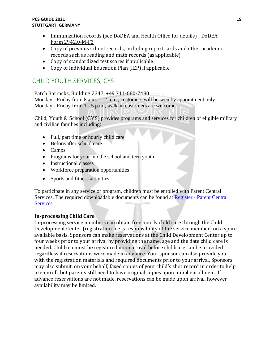#### **PCS GUIDE 2021 19 STUTTGART, GERMANY**

- Immunization records (see [DoDEA and Health Office f](http://www.dodea.edu/StudentServices/immunizationPgrm.cfm)or details) [DoDEA](http://www.dodea.edu/StudentServices/upload/2011_2942_0_M_F3.pdf)  Form [2942.0-M-F3](http://www.dodea.edu/StudentServices/upload/2011_2942_0_M_F3.pdf)
- Copy of previous school records, including report cards and other academic records such as reading and math records (as applicable)
- Copy of standardized test scores if applicable
- Copy of Individual Education Plan (IEP) if applicable

# CHILD YOUTH SERVICES, CYS

Patch Barracks, Building 2347, +49 711-680-7480 Monday - Friday from 8 a.m. - 12 p.m., customers will be seen by appointment only. Monday - Friday from 1 - 5 p.m., walk-in customers are welcome

Child, Youth & School (CYS) provides programs and services for children of eligible military and civilian families including:

- Full, part time or hourly child care
- Before/after school care
- Camps
- Programs for your middle school and teen youth
- Instructional classes
- Workforce preparation opportunities
- Sports and fitness activities

To participate in any service or program, children must be enrolled with Parent Central Services. The required downloadable documents can be found at [Register -](https://stuttgart.armymwr.com/europe/stuttgart/programs/parent-central-services) Parent Central [Services.](https://stuttgart.armymwr.com/europe/stuttgart/programs/parent-central-services)

#### **In-processing Child Care**

In-processing service members can obtain free hourly child care through the Child Development Center (registration fee is responsibility of the service member) on a space available basis. Sponsors can make reservations at the Child Development Center up to four weeks prior to your arrival by providing the name, age and the date child care is needed. Children must be registered upon arrival before childcare can be provided regardless if reservations were made in advance. Your sponsor can also provide you with the registration materials and required documents prior to your arrival. Sponsors may also submit, on your behalf, faxed copies of your child's shot record in order to help pre-enroll, but parents still need to have original copies upon initial enrollment. If advance reservations are not made, reservations can be made upon arrival, however availability may be limited.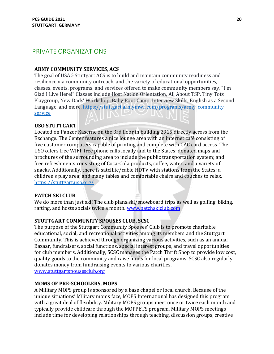# <span id="page-19-0"></span>PRIVATE ORGANIZATIONS

#### **ARMY COMMUNITY SERVICES, ACS**

The goal of USAG Stuttgart ACS is to build and maintain community readiness and resilience via community outreach, and the variety of educational opportunities, classes, events, programs, and services offered to make community members say, "I'm Glad I Live Here!" Classes include Host Nation Orientation, All About TSP, Tiny Tots Playgroup, New Dads' Workshop, Baby Boot Camp, Interview Skills, English as a Second Language, and more. [https://stuttgart.armymwr.com/programs/army-community](https://stuttgart.armymwr.com/programs/army-community-service)[service](https://stuttgart.armymwr.com/programs/army-community-service)

#### **USO STUTTGART**

Located on Panzer Kaserne on the 3rd floor in building 2915 directly across from the Exchange. The Center features a nice lounge area with an internet café consisting of five customer computers capable of printing and complete with CAC card access. The USO offers free WIFI; free phone calls locally and to the States; donated maps and brochures of the surrounding area to include the public transportation system; and free refreshments consisting of Coca-Cola products, coffee, water, and a variety of snacks. Additionally, there is satellite/cable HDTV with stations from the States; a children's play area; and many tables and comfortable chairs and couches to relax. <https://stuttgart.uso.org/>

#### **PATCH SKI CLUB**

We do more than just ski! The club plans ski/snowboard trips as well as golfing, biking, rafting, and hosts socials twice a month. [www.patchskiclub.com](http://www.patchskiclub.com/)

#### **STUTTGART COMMUNITY SPOUSES CLUB, SCSC**

The purpose of the Stuttgart Community Spouses' Club is to promote charitable, educational, social, and recreational activities among its members and the Stuttgart Community. This is achieved through organizing various activities, such as an annual Bazaar, fundraisers, social functions, special interest groups, and travel opportunities for club members. Additionally, SCSC manages the Patch Thrift Shop to provide low cost, quality goods to the community and raise funds for local programs. SCSC also regularly donates money from fundraising events to various charities.

[www.stuttgartspousesclub.org](http://www.stuttgartspousesclub.org/)

#### **MOMS OF PRE-SCHOOLERS, MOPS**

A Military MOPS group is sponsored by a base chapel or local church. Because of the unique situations' Military moms face, MOPS International has designed this program with a great deal of flexibility. Military MOPS groups meet once or twice each month and typically provide childcare through the MOPPETS program. Military MOPS meetings include time for developing relationships through teaching, discussion groups, creative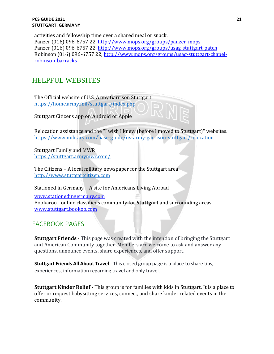activities and fellowship time over a shared meal or snack. Panzer (016) 096-6757 22[, http://www.mops.org/groups/panzer-mops](http://www.mops.org/groups/panzer-mops) Panzer (016) 096-6757 22[, http://www.mops.org/groups/usag-stuttgart-patch](http://www.mops.org/groups/usag-stuttgart-patch) Robinson (016) 096-6757 22[, http://www.mops.org/groups/usag-stuttgart-chapel](http://www.mops.org/groups/usag-stuttgart-chapel-robinson-barracks)[robinson-barracks](http://www.mops.org/groups/usag-stuttgart-chapel-robinson-barracks)

# HELPFUL WEBSITES

The Official website of U.S. Army Garrison Stuttgart <https://home.army.mil/stuttgart/index.php>

Stuttgart Citizens app on Android or Apple

Relocation assistance and the "I wish I knew (before I moved to Stuttgart)" websites. <https://www.military.com/base-guide/us-army-garrison-stuttgart/relocation>

Stuttgart Family and MWR <https://stuttgart.armymwr.com/>

The Citizens – A local military newspaper for the Stuttgart area [http://www.stuttgartcitizen.com](http://www.stuttgartcitizen.com/) 

Stationed in Germany – A site for Americans Living Abroad

[www.stationedingermany.com](http://www.stationedingermany.com/) Bookaroo - online classifieds community for **Stuttgart** and surrounding areas. [www.stuttgart.bookoo.com](http://www.stuttgart.bookoo.com/)

# FACEBOOK PAGES

**Stuttgart Friends** - This page was created with the intention of bringing the Stuttgart and American Community together. Members are welcome to ask and answer any questions, announce events, share experiences, and offer support.

**Stuttgart Friends All About Travel** - This closed group page is a place to share tips, experiences, information regarding travel and only travel.

**Stuttgart Kinder Relief -** This group is for families with kids in Stuttgart. It is a place to offer or request babysitting services, connect, and share kinder related events in the community.